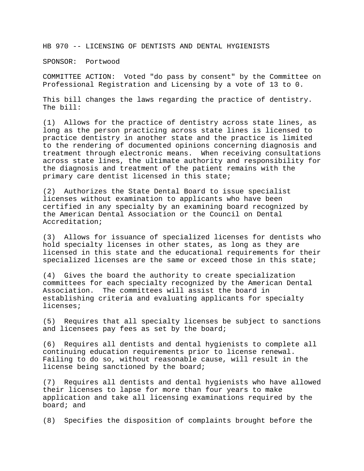HB 970 -- LICENSING OF DENTISTS AND DENTAL HYGIENISTS

SPONSOR: Portwood

COMMITTEE ACTION: Voted "do pass by consent" by the Committee on Professional Registration and Licensing by a vote of 13 to 0.

This bill changes the laws regarding the practice of dentistry. The bill:

(1) Allows for the practice of dentistry across state lines, as long as the person practicing across state lines is licensed to practice dentistry in another state and the practice is limited to the rendering of documented opinions concerning diagnosis and treatment through electronic means. When receiving consultations across state lines, the ultimate authority and responsibility for the diagnosis and treatment of the patient remains with the primary care dentist licensed in this state;

(2) Authorizes the State Dental Board to issue specialist licenses without examination to applicants who have been certified in any specialty by an examining board recognized by the American Dental Association or the Council on Dental Accreditation;

(3) Allows for issuance of specialized licenses for dentists who hold specialty licenses in other states, as long as they are licensed in this state and the educational requirements for their specialized licenses are the same or exceed those in this state;

(4) Gives the board the authority to create specialization committees for each specialty recognized by the American Dental Association. The committees will assist the board in establishing criteria and evaluating applicants for specialty licenses;

(5) Requires that all specialty licenses be subject to sanctions and licensees pay fees as set by the board;

(6) Requires all dentists and dental hygienists to complete all continuing education requirements prior to license renewal. Failing to do so, without reasonable cause, will result in the license being sanctioned by the board;

(7) Requires all dentists and dental hygienists who have allowed their licenses to lapse for more than four years to make application and take all licensing examinations required by the board; and

(8) Specifies the disposition of complaints brought before the